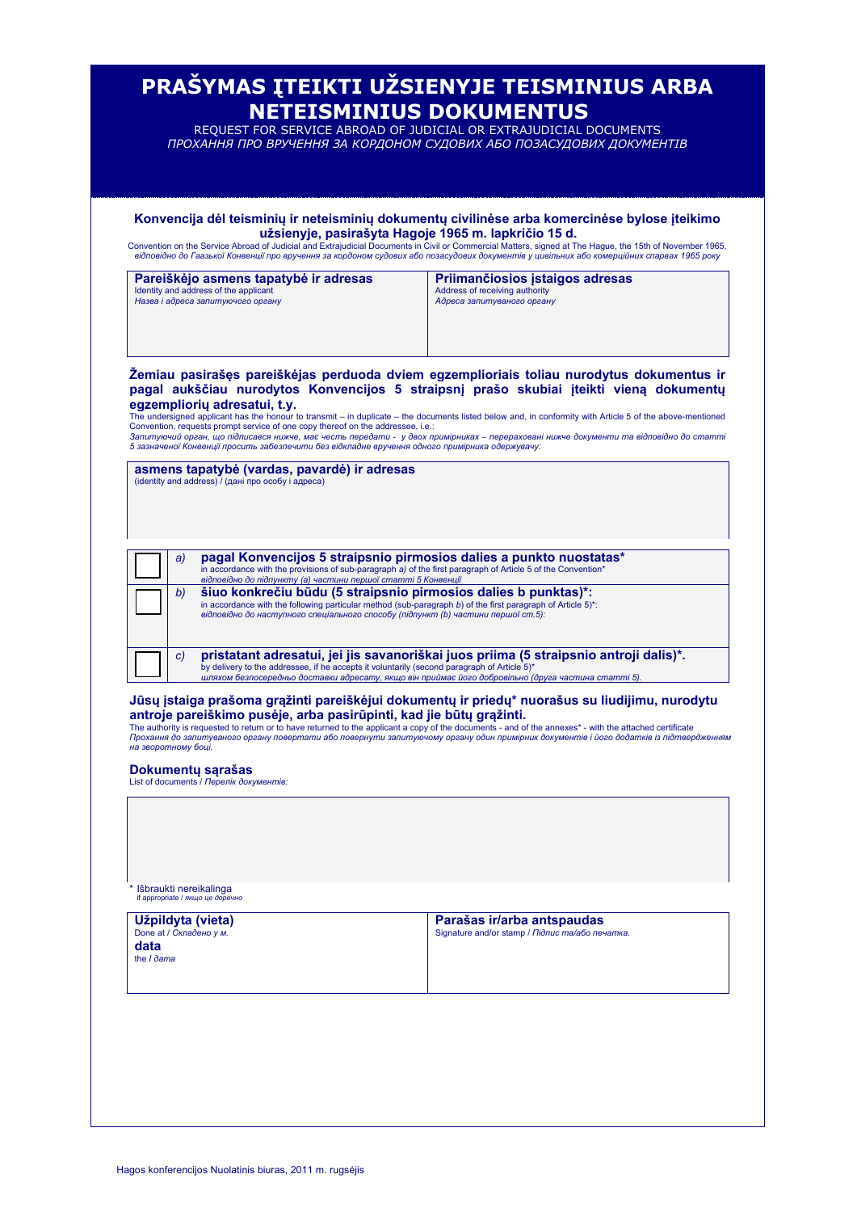|                                                                            |    | užsienyje, pasirašyta Hagoje 1965 m. lapkričio 15 d.                                                                                                                                                                                                                   | Konvencija dėl teisminių ir neteisminių dokumentų civilinėse arba komercinėse bylose įteikimo<br>Convention on the Service Abroad of Judicial and Extrajudicial Documents in Civil or Commercial Matters, signed at The Hague, the 15th of November 1965.                                                                                                                                                                                                                                 |
|----------------------------------------------------------------------------|----|------------------------------------------------------------------------------------------------------------------------------------------------------------------------------------------------------------------------------------------------------------------------|-------------------------------------------------------------------------------------------------------------------------------------------------------------------------------------------------------------------------------------------------------------------------------------------------------------------------------------------------------------------------------------------------------------------------------------------------------------------------------------------|
|                                                                            |    | Pareiškėjo asmens tapatybė ir adresas                                                                                                                                                                                                                                  | відповідно до Гаазької Конвенції про вручення за кордоном судових або позасудових документів у цивільних або комерційних спарвах 1965 року<br>Priimančiosios įstaigos adresas                                                                                                                                                                                                                                                                                                             |
| Identity and address of the applicant<br>Назва і адреса запитуючого органу |    |                                                                                                                                                                                                                                                                        | Address of receiving authority<br>Адреса запитуваного органу                                                                                                                                                                                                                                                                                                                                                                                                                              |
|                                                                            |    | egzemplioriu adresatui, t.y.<br>Convention, requests prompt service of one copy thereof on the addressee, i.e.:                                                                                                                                                        | Žemiau pasirašęs pareiškėjas perduoda dviem egzemplioriais toliau nurodytus dokumentus ir<br>pagal aukščiau nurodytos Konvencijos 5 straipsnį prašo skubiai įteikti vieną dokumentų<br>The undersigned applicant has the honour to transmit – in duplicate – the documents listed below and, in conformity with Article 5 of the above-mentioned<br>Запитуючий орган, що підписався нижче, має честь передати - у двох примірниках - перераховані нижче документи та відповідно до статті |
|                                                                            |    | 5 зазначеної Конвенції просить забезпечити без відкладне вручення одного примірника одержувачу:<br>asmens tapatybė (vardas, pavardė) ir adresas<br>(identity and address) / (дані про особу і адреса)                                                                  |                                                                                                                                                                                                                                                                                                                                                                                                                                                                                           |
|                                                                            |    |                                                                                                                                                                                                                                                                        |                                                                                                                                                                                                                                                                                                                                                                                                                                                                                           |
|                                                                            |    |                                                                                                                                                                                                                                                                        |                                                                                                                                                                                                                                                                                                                                                                                                                                                                                           |
|                                                                            | a) | pagal Konvencijos 5 straipsnio pirmosios dalies a punkto nuostatas*<br>in accordance with the provisions of sub-paragraph a) of the first paragraph of Article 5 of the Convention*<br>відповідно до підпункту (а) частини першої статті 5 Конвенції                   |                                                                                                                                                                                                                                                                                                                                                                                                                                                                                           |
|                                                                            | b) | šiuo konkrečiu būdu (5 straipsnio pirmosios dalies b punktas)*:<br>in accordance with the following particular method (sub-paragraph $b$ ) of the first paragraph of Article 5)*:<br>відповідно до наступного спеціального способу (підпункт (b) частини першої ст.5): |                                                                                                                                                                                                                                                                                                                                                                                                                                                                                           |
|                                                                            | C) | by delivery to the addressee, if he accepts it voluntarily (second paragraph of Article 5)*<br>шляхом безпосередньо доставки адресату, якщо він приймає його добровільно (друга частина статті 5).                                                                     | pristatant adresatui, jei jis savanoriškai juos priima (5 straipsnio antroji dalis)*.                                                                                                                                                                                                                                                                                                                                                                                                     |
|                                                                            |    | antroje pareiškimo pusėje, arba pasirūpinti, kad jie būtų grąžinti.                                                                                                                                                                                                    | Jūsų įstaiga prašoma grąžinti pareiškėjui dokumentų ir priedų* nuorašus su liudijimu, nurodytu<br>The authority is requested to return or to have returned to the applicant a copy of the documents - and of the annexes* - with the attached certificate                                                                                                                                                                                                                                 |
| на зворотному боці.                                                        |    |                                                                                                                                                                                                                                                                        | Прохання до запитуваного органу повертати або повернути запитуючому органу один примірник документів і його додатків із підтвердженням                                                                                                                                                                                                                                                                                                                                                    |
|                                                                            |    | Dokumentų sąrašas<br>List of documents / Перелік документів:                                                                                                                                                                                                           |                                                                                                                                                                                                                                                                                                                                                                                                                                                                                           |
|                                                                            |    |                                                                                                                                                                                                                                                                        |                                                                                                                                                                                                                                                                                                                                                                                                                                                                                           |
|                                                                            |    |                                                                                                                                                                                                                                                                        |                                                                                                                                                                                                                                                                                                                                                                                                                                                                                           |
|                                                                            |    | Išbraukti nereikalinga                                                                                                                                                                                                                                                 |                                                                                                                                                                                                                                                                                                                                                                                                                                                                                           |
|                                                                            |    | if appropriate / якщо це доречно<br>Užpildyta (vieta)                                                                                                                                                                                                                  | Parašas ir/arba antspaudas                                                                                                                                                                                                                                                                                                                                                                                                                                                                |
| Done at / Складено у м.<br>data<br>the I dama                              |    |                                                                                                                                                                                                                                                                        | Signature and/or stamp / Підпис та/або печатка.                                                                                                                                                                                                                                                                                                                                                                                                                                           |
|                                                                            |    |                                                                                                                                                                                                                                                                        |                                                                                                                                                                                                                                                                                                                                                                                                                                                                                           |
|                                                                            |    |                                                                                                                                                                                                                                                                        |                                                                                                                                                                                                                                                                                                                                                                                                                                                                                           |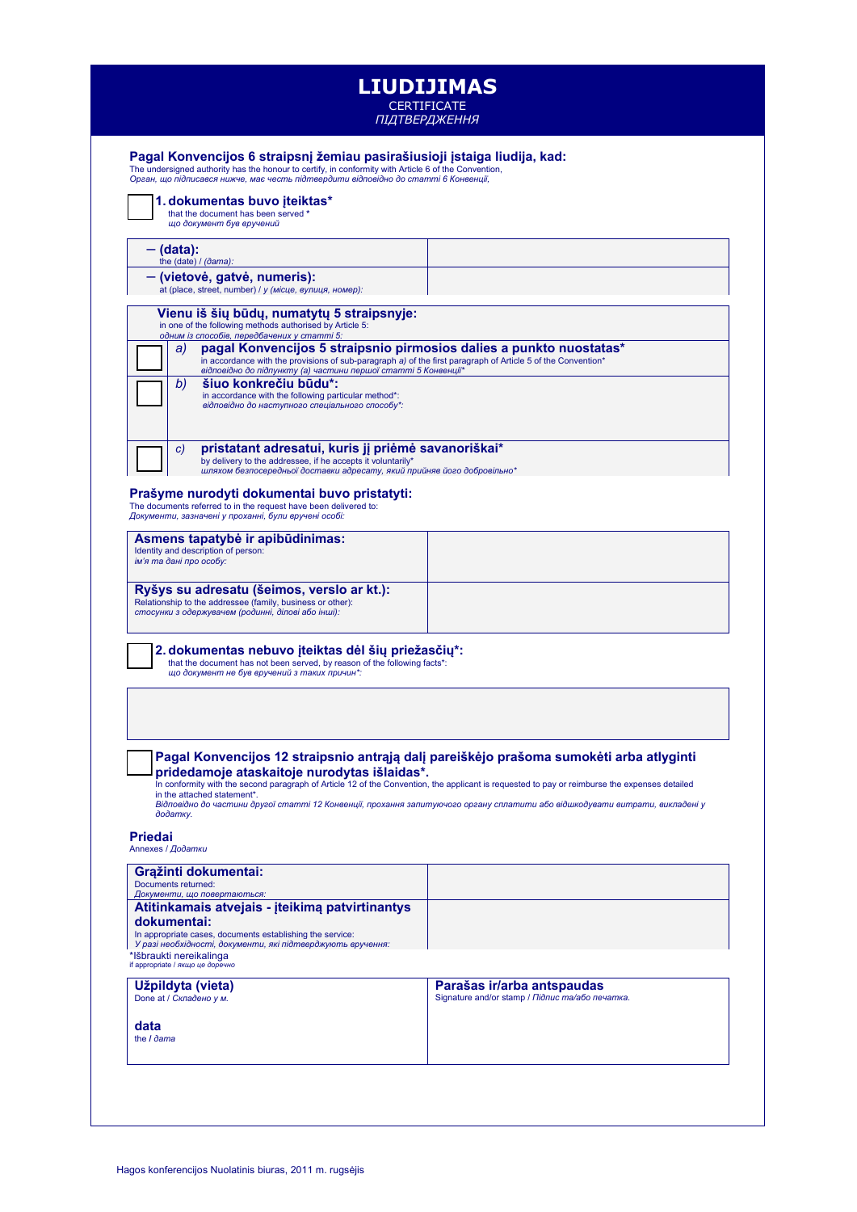|                                                                                                                                                                                                                                                                          | <b>LIUDIJIMAS</b><br><b>CERTIFICATE</b>                                                                                                                                                                                                  |
|--------------------------------------------------------------------------------------------------------------------------------------------------------------------------------------------------------------------------------------------------------------------------|------------------------------------------------------------------------------------------------------------------------------------------------------------------------------------------------------------------------------------------|
|                                                                                                                                                                                                                                                                          | ПІДТВЕРДЖЕННЯ                                                                                                                                                                                                                            |
| Pagal Konvencijos 6 straipsnį žemiau pasirašiusioji įstaiga liudija, kad:<br>The undersigned authority has the honour to certify, in conformity with Article 6 of the Convention,<br>Орган, що підписався нижче, має честь підтвердити відповідно до статті 6 Конвенції, |                                                                                                                                                                                                                                          |
| 1. dokumentas buvo iteiktas*<br>that the document has been served *<br>що документ був вручений                                                                                                                                                                          |                                                                                                                                                                                                                                          |
| — (data):<br>the $(data) / (dama)$ :                                                                                                                                                                                                                                     |                                                                                                                                                                                                                                          |
| - (vietovė, gatvė, numeris):<br>at (place, street, number) / у (місце, вулиця, номер):                                                                                                                                                                                   |                                                                                                                                                                                                                                          |
| Vienu iš šių būdų, numatytų 5 straipsnyje:<br>in one of the following methods authorised by Article 5:<br>одним із способів, передбачених у статті 5:                                                                                                                    |                                                                                                                                                                                                                                          |
| pagal Konvencijos 5 straipsnio pirmosios dalies a punkto nuostatas*<br>a)<br>in accordance with the provisions of sub-paragraph a) of the first paragraph of Article 5 of the Convention*<br>відповідно до підпункту (а) частини першої статті 5 Конвенції*              |                                                                                                                                                                                                                                          |
| šiuo konkrečiu būdu*:<br>b)<br>in accordance with the following particular method*:<br>відповідно до наступного спеціального способу*:                                                                                                                                   |                                                                                                                                                                                                                                          |
| pristatant adresatui, kuris ji priėmė savanoriškai*<br>C)<br>by delivery to the addressee, if he accepts it voluntarily*<br>шляхом безпосередньої доставки адресату, який прийняв його добровільно*                                                                      |                                                                                                                                                                                                                                          |
| Prašyme nurodyti dokumentai buvo pristatyti:<br>The documents referred to in the request have been delivered to:<br>Документи, зазначені у проханні, були вручені особі:                                                                                                 |                                                                                                                                                                                                                                          |
| Asmens tapatybė ir apibūdinimas:<br>Identity and description of person:<br>ім'я та дані про особу:                                                                                                                                                                       |                                                                                                                                                                                                                                          |
| Ryšys su adresatu (šeimos, verslo ar kt.):<br>Relationship to the addressee (family, business or other):<br>стосунки з одержувачем (родинні, ділові або інші):                                                                                                           |                                                                                                                                                                                                                                          |
| 2. dokumentas nebuvo įteiktas dėl šių priežasčių*:<br>that the document has not been served, by reason of the following facts*:<br>що документ не був вручений з таких причин*:                                                                                          |                                                                                                                                                                                                                                          |
|                                                                                                                                                                                                                                                                          |                                                                                                                                                                                                                                          |
|                                                                                                                                                                                                                                                                          |                                                                                                                                                                                                                                          |
| pridedamoje ataskaitoje nurodytas išlaidas*.<br>in the attached statement*.                                                                                                                                                                                              | Pagal Konvencijos 12 straipsnio antrąją dalį pareiškėjo prašoma sumokėti arba atlyginti<br>In conformity with the second paragraph of Article 12 of the Convention, the applicant is requested to pay or reimburse the expenses detailed |
| додатку.                                                                                                                                                                                                                                                                 | Відповідно до частини другої статті 12 Конвенції, прохання запитуючого органу сплатити або відшкодувати витрати, викладені у                                                                                                             |
| <b>Priedai</b><br>Annexes / Додатки                                                                                                                                                                                                                                      |                                                                                                                                                                                                                                          |
| Grąžinti dokumentai:<br>Documents returned:                                                                                                                                                                                                                              |                                                                                                                                                                                                                                          |
| Документи, що повертаються:<br>Atitinkamais atvejais - įteikimą patvirtinantys                                                                                                                                                                                           |                                                                                                                                                                                                                                          |
| dokumentai:<br>In appropriate cases, documents establishing the service:<br>У разі необхідності, документи, які підтверджують вручення:<br>*lšbraukti nereikalinga                                                                                                       |                                                                                                                                                                                                                                          |
| if appropriate / якщо це доречно<br>Užpildyta (vieta)<br>Done at / Складено у м.                                                                                                                                                                                         | Parašas ir/arba antspaudas<br>Signature and/or stamp / Підпис та/або печатка.                                                                                                                                                            |
| data<br>the <i>I dama</i>                                                                                                                                                                                                                                                |                                                                                                                                                                                                                                          |
|                                                                                                                                                                                                                                                                          |                                                                                                                                                                                                                                          |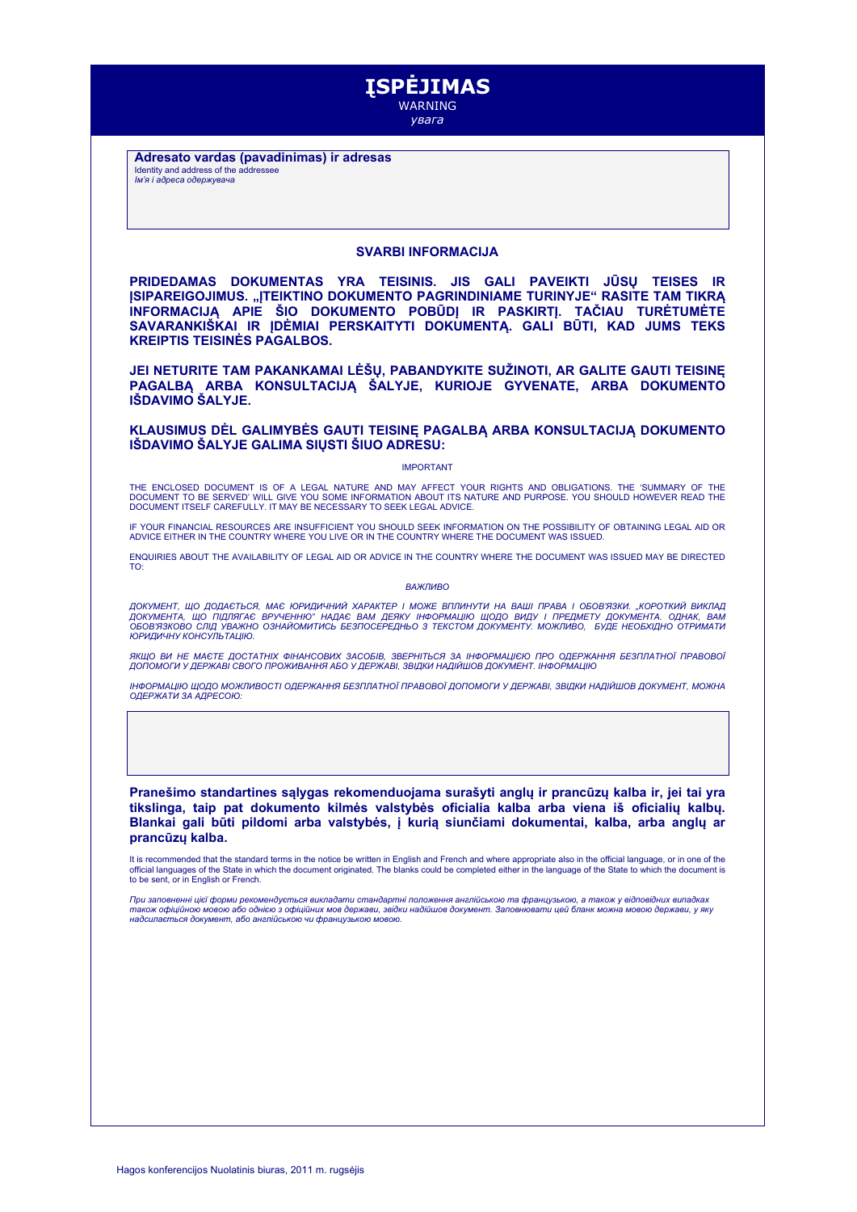

**Adresato vardas (pavadinimas) ir adresas** Identity and address of the addressee *Ім'я і адреса одержувача*

## **SVARBI INFORMACIJA**

**PRIDEDAMAS DOKUMENTAS YRA TEISINIS. JIS GALI PAVEIKTI JŪSŲ TEISES IR ĮSIPAREIGOJIMUS. "ĮTEIKTINO DOKUMENTO PAGRINDINIAME TURINYJE" RASITE TAM TIKRĄ INFORMACIJĄ APIE ŠIO DOKUMENTO POBŪDĮ IR PASKIRTĮ. TAČIAU TURĖTUMĖTE SAVARANKIŠKAI IR ĮDĖMIAI PERSKAITYTI DOKUMENTĄ. GALI BŪTI, KAD JUMS TEKS KREIPTIS TEISINĖS PAGALBOS.**

**JEI NETURITE TAM PAKANKAMAI LĖŠŲ, PABANDYKITE SUŽINOTI, AR GALITE GAUTI TEISINĘ PAGALBĄ ARBA KONSULTACIJĄ ŠALYJE, KURIOJE GYVENATE, ARBA DOKUMENTO IŠDAVIMO ŠALYJE.**

**KLAUSIMUS DĖL GALIMYBĖS GAUTI TEISINĘ PAGALBĄ ARBA KONSULTACIJĄ DOKUMENTO IŠDAVIMO ŠALYJE GALIMA SIŲSTI ŠIUO ADRESU:**

## IMPORTANT

THE ENCLOSED DOCUMENT IS OF A LEGAL NATURE AND MAY AFFECT YOUR RIGHTS AND OBLIGATIONS. THE 'SUMMARY OF THE DOCUMENT TO BE SERVED' WILL GIVE YOU SOME INFORMATION ABOUT ITS NATURE AND PURPOSE. YOU SHOULD HOWEVER READ THE DOCUMENT ITSELF CAREFULLY. IT MAY BE NECESSARY TO SEEK LEGAL ADVICE.

IF YOUR FINANCIAL RESOURCES ARE INSUFFICIENT YOU SHOULD SEEK INFORMATION ON THE POSSIBILITY OF OBTAINING LEGAL AID OR<br>ADVICE EITHER IN THE COUNTRY WHERE YOU LIVE OR IN THE COUNTRY WHERE THE DOCUMENT WAS ISSUED.

ENQUIRIES ABOUT THE AVAILABILITY OF LEGAL AID OR ADVICE IN THE COUNTRY WHERE THE DOCUMENT WAS ISSUED MAY BE DIRECTED TO:

## *ВАЖЛИВО*

*ДОКУМЕНТ, ЩО ДОДАЄТЬСЯ, МАЄ ЮРИДИЧНИЙ ХАРАКТЕР І МОЖЕ ВПЛИНУТИ НА ВАШІ ПРАВА І ОБОВ'ЯЗКИ. "КОРОТКИЙ ВИКЛАД ДОКУМЕНТА, ЩО ПІДЛЯГАЄ ВРУЧЕННЮ" НАДАЄ ВАМ ДЕЯКУ ІНФОРМАЦІЮ ЩОДО ВИДУ І ПРЕДМЕТУ ДОКУМЕНТА. ОДНАК, ВАМ ОБОВ'ЯЗКОВО СЛІД УВАЖНО ОЗНАЙОМИТИСЬ БЕЗПОСЕРЕДНЬО З ТЕКСТОМ ДОКУМЕНТУ. МОЖЛИВО, БУДЕ НЕОБХІДНО ОТРИМАТИ ЮРИДИЧНУ КОНСУЛЬТАЦІЮ.* 

*ЯКЩО ВИ НЕ МАЄТЕ ДОСТАТНІХ ФІНАНСОВИХ ЗАСОБІВ, ЗВЕРНІТЬСЯ ЗА ІНФОРМАЦІЄЮ ПРО ОДЕРЖАННЯ БЕЗПЛАТНОЇ ПРАВОВОЇ ДОПОМОГИ У ДЕРЖАВІ СВОГО ПРОЖИВАННЯ АБО У ДЕРЖАВІ, ЗВІДКИ НАДІЙШОВ ДОКУМЕНТ. ІНФОРМАЦІЮ*

*ІНФОРМАЦІЮ ЩОДО МОЖЛИВОСТІ ОДЕРЖАННЯ БЕЗПЛАТНОЇ ПРАВОВОЇ ДОПОМОГИ У ДЕРЖАВІ, ЗВІДКИ НАДІЙШОВ ДОКУМЕНТ, МОЖНА ОДЕРЖАТИ ЗА АДРЕСОЮ:*

**Pranešimo standartines sąlygas rekomenduojama surašyti anglų ir prancūzų kalba ir, jei tai yra tikslinga, taip pat dokumento kilmės valstybės oficialia kalba arba viena iš oficialių kalbų. Blankai gali būti pildomi arba valstybės, į kurią siunčiami dokumentai, kalba, arba anglų ar prancūzų kalba.**

It is recommended that the standard terms in the notice be written in English and French and where appropriate also in the official language, or in one of the official languages of the State in which the document originated. The blanks could be completed either in the language of the State to which the document is to be sent, or in English or French.

При заповненні цієї форми рекомендується викладати стандартні положення англійською та французькою, а також у відповідних випадках<br>також офіційною мовою або однією з офіційних мов держави, звідки надійшов документ. Заповн *надсилається документ, або англійською чи французькою мовою.*